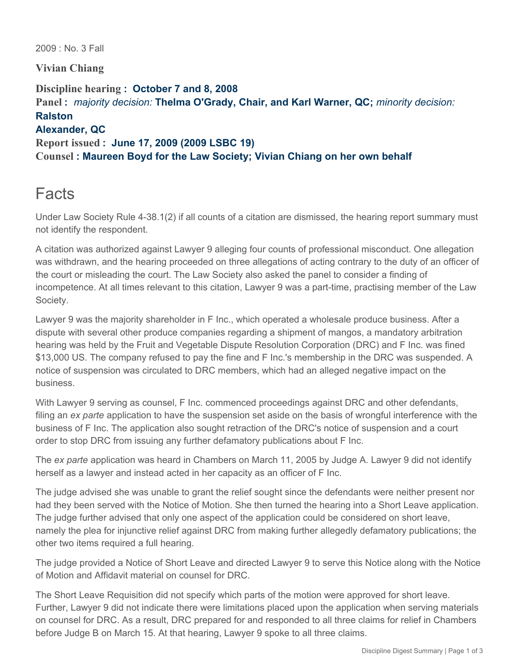2009 : No. 3 Fall

**Vivian Chiang**

**Discipline hearing : October 7 and 8, 2008 Panel :** *majority decision:* **Thelma O'Grady, Chair, and Karl Warner, QC;** *minority decision:*  **Ralston Alexander, QC Report issued : June 17, 2009 (2009 LSBC 19) Counsel : Maureen Boyd for the Law Society; Vivian Chiang on her own behalf**

# **Facts**

Under Law Society Rule 4-38.1(2) if all counts of a citation are dismissed, the hearing report summary must not identify the respondent.

A citation was authorized against Lawyer 9 alleging four counts of professional misconduct. One allegation was withdrawn, and the hearing proceeded on three allegations of acting contrary to the duty of an officer of the court or misleading the court. The Law Society also asked the panel to consider a finding of incompetence. At all times relevant to this citation, Lawyer 9 was a part-time, practising member of the Law Society.

Lawyer 9 was the majority shareholder in F Inc., which operated a wholesale produce business. After a dispute with several other produce companies regarding a shipment of mangos, a mandatory arbitration hearing was held by the Fruit and Vegetable Dispute Resolution Corporation (DRC) and F Inc. was fined \$13,000 US. The company refused to pay the fine and F Inc.'s membership in the DRC was suspended. A notice of suspension was circulated to DRC members, which had an alleged negative impact on the business.

With Lawyer 9 serving as counsel, F Inc. commenced proceedings against DRC and other defendants, filing an *ex parte* application to have the suspension set aside on the basis of wrongful interference with the business of F Inc. The application also sought retraction of the DRC's notice of suspension and a court order to stop DRC from issuing any further defamatory publications about F Inc.

The *ex parte* application was heard in Chambers on March 11, 2005 by Judge A. Lawyer 9 did not identify herself as a lawyer and instead acted in her capacity as an officer of F Inc.

The judge advised she was unable to grant the relief sought since the defendants were neither present nor had they been served with the Notice of Motion. She then turned the hearing into a Short Leave application. The judge further advised that only one aspect of the application could be considered on short leave, namely the plea for injunctive relief against DRC from making further allegedly defamatory publications; the other two items required a full hearing.

The judge provided a Notice of Short Leave and directed Lawyer 9 to serve this Notice along with the Notice of Motion and Affidavit material on counsel for DRC.

The Short Leave Requisition did not specify which parts of the motion were approved for short leave. Further, Lawyer 9 did not indicate there were limitations placed upon the application when serving materials on counsel for DRC. As a result, DRC prepared for and responded to all three claims for relief in Chambers before Judge B on March 15. At that hearing, Lawyer 9 spoke to all three claims.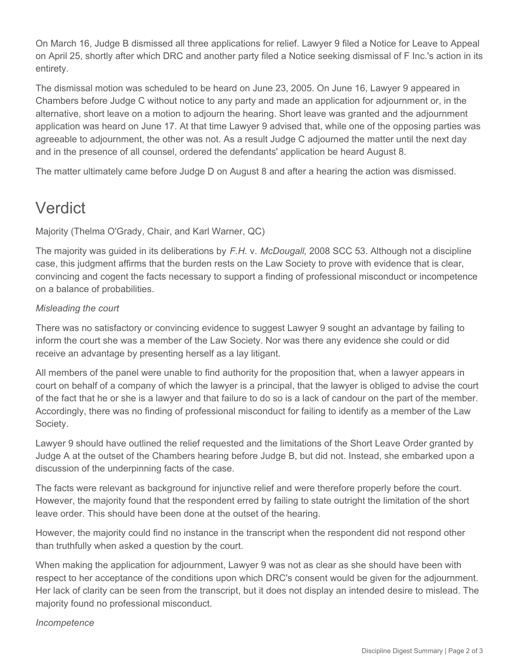On March 16, Judge B dismissed all three applications for relief. Lawyer 9 filed a Notice for Leave to Appeal on April 25, shortly after which DRC and another party filed a Notice seeking dismissal of F Inc.'s action in its entirety.

The dismissal motion was scheduled to be heard on June 23, 2005. On June 16, Lawyer 9 appeared in Chambers before Judge C without notice to any party and made an application for adjournment or, in the alternative, short leave on a motion to adjourn the hearing. Short leave was granted and the adjournment application was heard on June 17. At that time Lawyer 9 advised that, while one of the opposing parties was agreeable to adjournment, the other was not. As a result Judge C adjourned the matter until the next day and in the presence of all counsel, ordered the defendants' application be heard August 8.

The matter ultimately came before Judge D on August 8 and after a hearing the action was dismissed.

# Verdict

Majority (Thelma O'Grady, Chair, and Karl Warner, QC)

The majority was guided in its deliberations by *F.H.* v. *McDougall,* 2008 SCC 53. Although not a discipline case, this judgment affirms that the burden rests on the Law Society to prove with evidence that is clear, convincing and cogent the facts necessary to support a finding of professional misconduct or incompetence on a balance of probabilities.

### *Misleading the court*

There was no satisfactory or convincing evidence to suggest Lawyer 9 sought an advantage by failing to inform the court she was a member of the Law Society. Nor was there any evidence she could or did receive an advantage by presenting herself as a lay litigant.

All members of the panel were unable to find authority for the proposition that, when a lawyer appears in court on behalf of a company of which the lawyer is a principal, that the lawyer is obliged to advise the court of the fact that he or she is a lawyer and that failure to do so is a lack of candour on the part of the member. Accordingly, there was no finding of professional misconduct for failing to identify as a member of the Law Society.

Lawyer 9 should have outlined the relief requested and the limitations of the Short Leave Order granted by Judge A at the outset of the Chambers hearing before Judge B, but did not. Instead, she embarked upon a discussion of the underpinning facts of the case.

The facts were relevant as background for injunctive relief and were therefore properly before the court. However, the majority found that the respondent erred by failing to state outright the limitation of the short leave order. This should have been done at the outset of the hearing.

However, the majority could find no instance in the transcript when the respondent did not respond other than truthfully when asked a question by the court.

When making the application for adjournment, Lawyer 9 was not as clear as she should have been with respect to her acceptance of the conditions upon which DRC's consent would be given for the adjournment. Her lack of clarity can be seen from the transcript, but it does not display an intended desire to mislead. The majority found no professional misconduct.

#### *Incompetence*